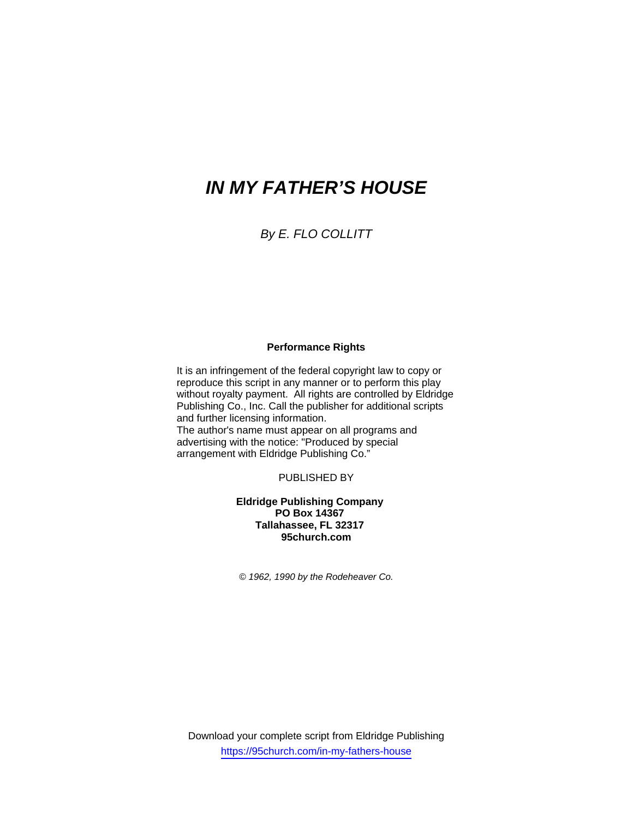# *IN MY FATHER'S HOUSE*

*By E. FLO COLLITT* 

### **Performance Rights**

It is an infringement of the federal copyright law to copy or reproduce this script in any manner or to perform this play without royalty payment. All rights are controlled by Eldridge Publishing Co., Inc. Call the publisher for additional scripts and further licensing information. The author's name must appear on all programs and advertising with the notice: "Produced by special arrangement with Eldridge Publishing Co."

PUBLISHED BY

**Eldridge Publishing Company PO Box 14367 Tallahassee, FL 32317 95church.com** 

*© 1962, 1990 by the Rodeheaver Co.* 

Download your complete script from Eldridge Publishing https://95church.com/in-my-fathers-house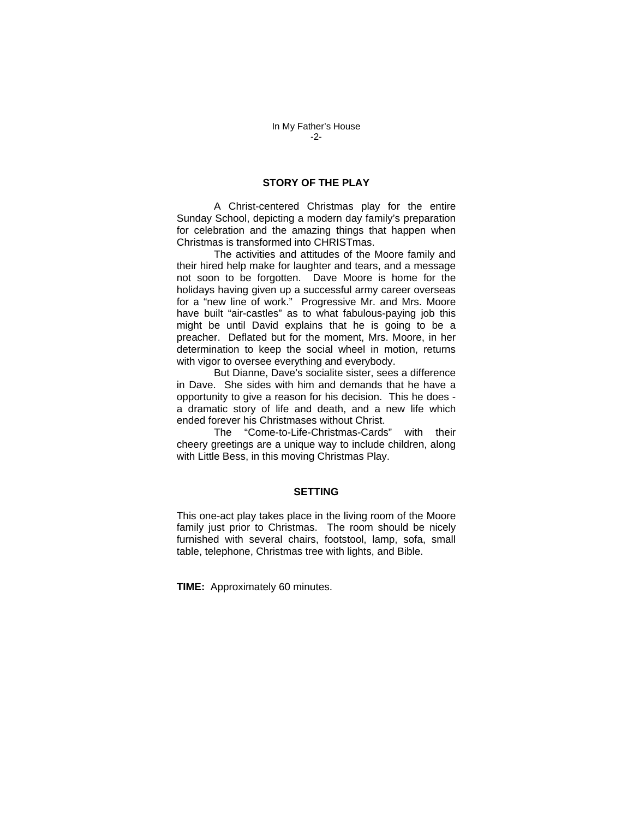#### **STORY OF THE PLAY**

 A Christ-centered Christmas play for the entire Sunday School, depicting a modern day family's preparation for celebration and the amazing things that happen when Christmas is transformed into CHRISTmas.

 The activities and attitudes of the Moore family and their hired help make for laughter and tears, and a message not soon to be forgotten. Dave Moore is home for the holidays having given up a successful army career overseas for a "new line of work." Progressive Mr. and Mrs. Moore have built "air-castles" as to what fabulous-paying job this might be until David explains that he is going to be a preacher. Deflated but for the moment, Mrs. Moore, in her determination to keep the social wheel in motion, returns with vigor to oversee everything and everybody.

 But Dianne, Dave's socialite sister, sees a difference in Dave. She sides with him and demands that he have a opportunity to give a reason for his decision. This he does a dramatic story of life and death, and a new life which ended forever his Christmases without Christ.

 The "Come-to-Life-Christmas-Cards" with their cheery greetings are a unique way to include children, along with Little Bess, in this moving Christmas Play.

#### **SETTING**

This one-act play takes place in the living room of the Moore family just prior to Christmas. The room should be nicely furnished with several chairs, footstool, lamp, sofa, small table, telephone, Christmas tree with lights, and Bible.

**TIME:** Approximately 60 minutes.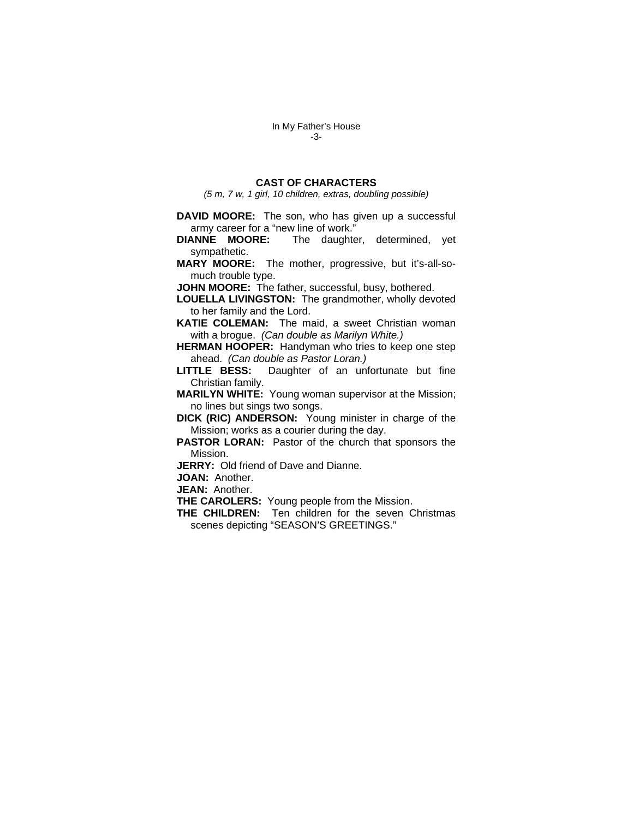## **CAST OF CHARACTERS**

*(5 m, 7 w, 1 girl, 10 children, extras, doubling possible)* 

**DAVID MOORE:** The son, who has given up a successful army career for a "new line of work."

**DIANNE MOORE:** The daughter, determined, yet sympathetic.

**MARY MOORE:** The mother, progressive, but it's-all-somuch trouble type.

**JOHN MOORE:** The father, successful, busy, bothered.

**LOUELLA LIVINGSTON:** The grandmother, wholly devoted to her family and the Lord.

**KATIE COLEMAN:** The maid, a sweet Christian woman with a brogue. *(Can double as Marilyn White.)*

**HERMAN HOOPER:** Handyman who tries to keep one step ahead. *(Can double as Pastor Loran.)*

**LITTLE BESS:** Daughter of an unfortunate but fine Christian family.

**MARILYN WHITE:** Young woman supervisor at the Mission; no lines but sings two songs.

**DICK (RIC) ANDERSON:** Young minister in charge of the Mission; works as a courier during the day.

**PASTOR LORAN:** Pastor of the church that sponsors the Mission.

**JERRY:** Old friend of Dave and Dianne.

**JOAN:** Another.

**JEAN:** Another.

**THE CAROLERS:** Young people from the Mission.

**THE CHILDREN:** Ten children for the seven Christmas scenes depicting "SEASON'S GREETINGS."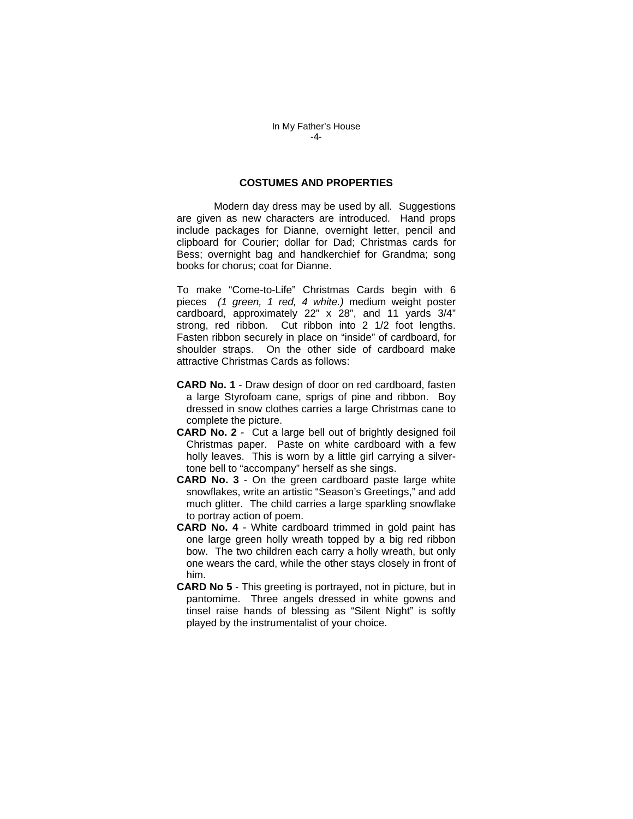#### **COSTUMES AND PROPERTIES**

 Modern day dress may be used by all. Suggestions are given as new characters are introduced. Hand props include packages for Dianne, overnight letter, pencil and clipboard for Courier; dollar for Dad; Christmas cards for Bess; overnight bag and handkerchief for Grandma; song books for chorus; coat for Dianne.

To make "Come-to-Life" Christmas Cards begin with 6 pieces *(1 green, 1 red, 4 white.)* medium weight poster cardboard, approximately 22" x 28", and 11 yards 3/4" strong, red ribbon. Cut ribbon into 2 1/2 foot lengths. Fasten ribbon securely in place on "inside" of cardboard, for shoulder straps. On the other side of cardboard make attractive Christmas Cards as follows:

- **CARD No. 1** Draw design of door on red cardboard, fasten a large Styrofoam cane, sprigs of pine and ribbon. Boy dressed in snow clothes carries a large Christmas cane to complete the picture.
- **CARD No. 2**  Cut a large bell out of brightly designed foil Christmas paper. Paste on white cardboard with a few holly leaves. This is worn by a little girl carrying a silvertone bell to "accompany" herself as she sings.
- **CARD No. 3** On the green cardboard paste large white snowflakes, write an artistic "Season's Greetings," and add much glitter. The child carries a large sparkling snowflake to portray action of poem.
- **CARD No. 4** White cardboard trimmed in gold paint has one large green holly wreath topped by a big red ribbon bow. The two children each carry a holly wreath, but only one wears the card, while the other stays closely in front of him.
- **CARD No 5** This greeting is portrayed, not in picture, but in pantomime. Three angels dressed in white gowns and tinsel raise hands of blessing as "Silent Night" is softly played by the instrumentalist of your choice.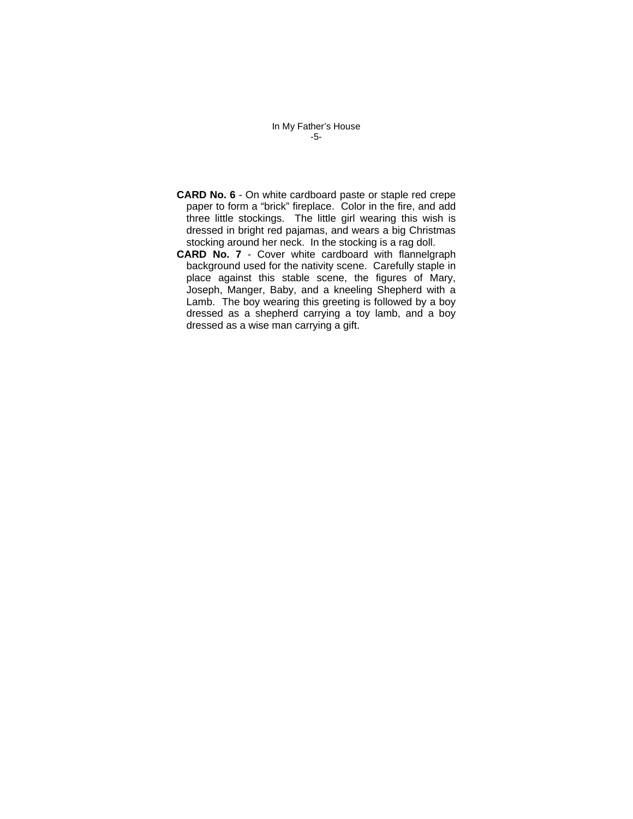In My Father's House -5-

- **CARD No. 6** On white cardboard paste or staple red crepe paper to form a "brick" fireplace. Color in the fire, and add three little stockings. The little girl wearing this wish is dressed in bright red pajamas, and wears a big Christmas stocking around her neck. In the stocking is a rag doll.
- **CARD No. 7** Cover white cardboard with flannelgraph background used for the nativity scene. Carefully staple in place against this stable scene, the figures of Mary, Joseph, Manger, Baby, and a kneeling Shepherd with a Lamb. The boy wearing this greeting is followed by a boy dressed as a shepherd carrying a toy lamb, and a boy dressed as a wise man carrying a gift.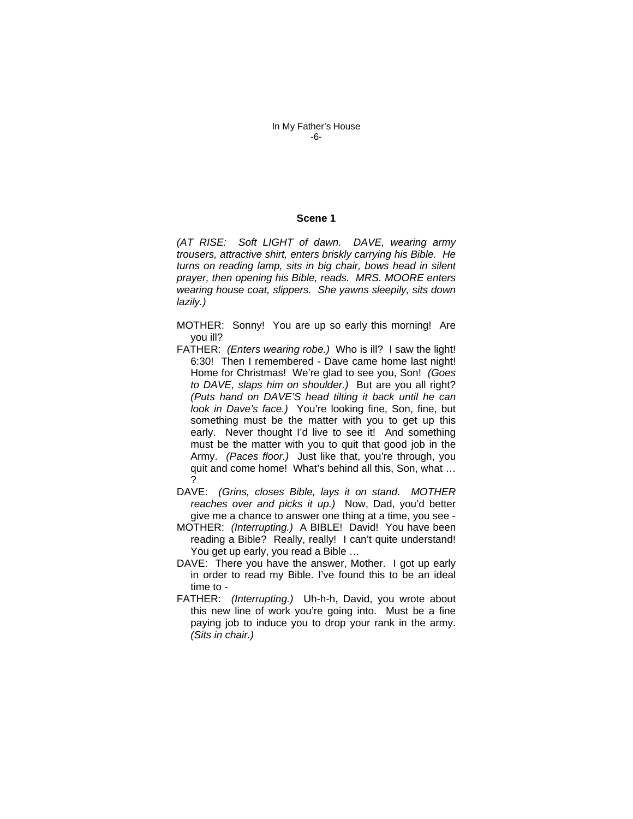#### **Scene 1**

*(AT RISE: Soft LIGHT of dawn. DAVE, wearing army trousers, attractive shirt, enters briskly carrying his Bible. He turns on reading lamp, sits in big chair, bows head in silent prayer, then opening his Bible, reads. MRS. MOORE enters wearing house coat, slippers. She yawns sleepily, sits down lazily.)* 

- MOTHER: Sonny! You are up so early this morning! Are you ill?
- FATHER: *(Enters wearing robe.)* Who is ill? I saw the light! 6:30! Then I remembered - Dave came home last night! Home for Christmas! We're glad to see you, Son! *(Goes to DAVE, slaps him on shoulder.)* But are you all right? *(Puts hand on DAVE'S head tilting it back until he can look in Dave's face.)* You're looking fine, Son, fine, but something must be the matter with you to get up this early. Never thought I'd live to see it! And something must be the matter with you to quit that good job in the Army. *(Paces floor.)* Just like that, you're through, you quit and come home! What's behind all this, Son, what … ?
- DAVE: *(Grins, closes Bible, lays it on stand. MOTHER reaches over and picks it up.)* Now, Dad, you'd better give me a chance to answer one thing at a time, you see -
- MOTHER: *(Interrupting.)* A BIBLE! David! You have been reading a Bible? Really, really! I can't quite understand! You get up early, you read a Bible …
- DAVE: There you have the answer, Mother. I got up early in order to read my Bible. I've found this to be an ideal time to -
- FATHER: *(Interrupting.)* Uh-h-h, David, you wrote about this new line of work you're going into. Must be a fine paying job to induce you to drop your rank in the army. *(Sits in chair.)*